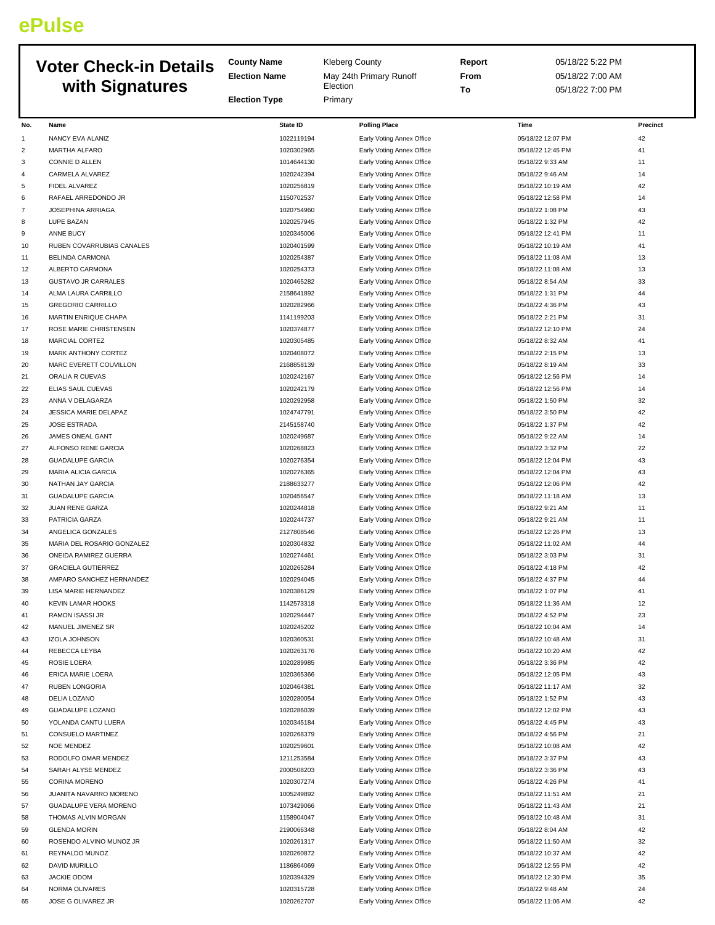## **ePulse**

| <b>Voter Check-in Details</b><br>with Signatures |                                         | <b>County Name</b><br><b>Kleberg County</b> |                                                        | Report | 05/18/22 5:22 PM                      |          |
|--------------------------------------------------|-----------------------------------------|---------------------------------------------|--------------------------------------------------------|--------|---------------------------------------|----------|
|                                                  |                                         | <b>Election Name</b>                        | May 24th Primary Runoff                                | From   | 05/18/22 7:00 AM                      |          |
|                                                  |                                         |                                             | Election                                               | To     | 05/18/22 7:00 PM                      |          |
|                                                  |                                         | <b>Election Type</b>                        | Primary                                                |        |                                       |          |
| No.                                              | Name                                    | State ID                                    | <b>Polling Place</b>                                   |        | Time                                  | Precinct |
| 1                                                | NANCY EVA ALANIZ                        | 1022119194                                  | Early Voting Annex Office                              |        | 05/18/22 12:07 PM                     | 42       |
| 2                                                | MARTHA ALFARO                           | 1020302965                                  | Early Voting Annex Office                              |        | 05/18/22 12:45 PM                     | 41       |
| 3                                                | CONNIE D ALLEN                          | 1014644130                                  | Early Voting Annex Office                              |        | 05/18/22 9:33 AM                      | 11       |
| 4                                                | CARMELA ALVAREZ                         | 1020242394                                  | Early Voting Annex Office                              |        | 05/18/22 9:46 AM                      | 14       |
| 5                                                | FIDEL ALVAREZ                           | 1020256819                                  | Early Voting Annex Office                              |        | 05/18/22 10:19 AM                     | 42       |
| 6                                                | RAFAEL ARREDONDO JR                     | 1150702537                                  | Early Voting Annex Office                              |        | 05/18/22 12:58 PM                     | 14       |
| 7                                                | <b>JOSEPHINA ARRIAGA</b>                | 1020754960                                  | Early Voting Annex Office                              |        | 05/18/22 1:08 PM                      | 43       |
| 8                                                | LUPE BAZAN                              | 1020257945                                  | Early Voting Annex Office                              |        | 05/18/22 1:32 PM                      | 42       |
| 9                                                | <b>ANNE BUCY</b>                        | 1020345006                                  | Early Voting Annex Office                              |        | 05/18/22 12:41 PM                     | 11       |
| 10                                               | RUBEN COVARRUBIAS CANALES               | 1020401599                                  | Early Voting Annex Office                              |        | 05/18/22 10:19 AM                     | 41       |
| 11                                               | <b>BELINDA CARMONA</b>                  | 1020254387                                  | Early Voting Annex Office                              |        | 05/18/22 11:08 AM                     | 13       |
| 12                                               | ALBERTO CARMONA                         | 1020254373                                  | Early Voting Annex Office                              |        | 05/18/22 11:08 AM                     | 13       |
| 13                                               | <b>GUSTAVO JR CARRALES</b>              | 1020465282                                  | Early Voting Annex Office                              |        | 05/18/22 8:54 AM                      | 33       |
| 14                                               | ALMA LAURA CARRILLO                     | 2158641892                                  | Early Voting Annex Office                              |        | 05/18/22 1:31 PM                      | 44       |
| 15                                               | <b>GREGORIO CARRILLO</b>                | 1020282966                                  | Early Voting Annex Office                              |        | 05/18/22 4:36 PM                      | 43       |
| 16                                               | MARTIN ENRIQUE CHAPA                    | 1141199203                                  | Early Voting Annex Office                              |        | 05/18/22 2:21 PM                      | 31       |
| 17                                               | ROSE MARIE CHRISTENSEN                  | 1020374877                                  | Early Voting Annex Office                              |        | 05/18/22 12:10 PM                     | 24       |
| 18                                               | MARCIAL CORTEZ                          | 1020305485                                  | Early Voting Annex Office                              |        | 05/18/22 8:32 AM                      | 41       |
| 19                                               | MARK ANTHONY CORTEZ                     | 1020408072                                  | Early Voting Annex Office                              |        | 05/18/22 2:15 PM                      | 13       |
| 20                                               | MARC EVERETT COUVILLON                  | 2168858139                                  | Early Voting Annex Office                              |        | 05/18/22 8:19 AM                      | 33       |
| 21                                               | ORALIA R CUEVAS                         | 1020242167                                  | Early Voting Annex Office                              |        | 05/18/22 12:56 PM                     | 14       |
| 22<br>23                                         | ELIAS SAUL CUEVAS<br>ANNA V DELAGARZA   | 1020242179<br>1020292958                    | Early Voting Annex Office                              |        | 05/18/22 12:56 PM                     | 14<br>32 |
| 24                                               | JESSICA MARIE DELAPAZ                   | 1024747791                                  | Early Voting Annex Office<br>Early Voting Annex Office |        | 05/18/22 1:50 PM<br>05/18/22 3:50 PM  | 42       |
| 25                                               | <b>JOSE ESTRADA</b>                     | 2145158740                                  | Early Voting Annex Office                              |        | 05/18/22 1:37 PM                      | 42       |
| 26                                               | JAMES ONEAL GANT                        | 1020249687                                  | Early Voting Annex Office                              |        | 05/18/22 9:22 AM                      | 14       |
| 27                                               | ALFONSO RENE GARCIA                     | 1020268823                                  | Early Voting Annex Office                              |        | 05/18/22 3:32 PM                      | 22       |
| 28                                               | <b>GUADALUPE GARCIA</b>                 | 1020276354                                  | Early Voting Annex Office                              |        | 05/18/22 12:04 PM                     | 43       |
| 29                                               | MARIA ALICIA GARCIA                     | 1020276365                                  | Early Voting Annex Office                              |        | 05/18/22 12:04 PM                     | 43       |
| 30                                               | NATHAN JAY GARCIA                       | 2188633277                                  | Early Voting Annex Office                              |        | 05/18/22 12:06 PM                     | 42       |
| 31                                               | <b>GUADALUPE GARCIA</b>                 | 1020456547                                  | Early Voting Annex Office                              |        | 05/18/22 11:18 AM                     | 13       |
| 32                                               | <b>JUAN RENE GARZA</b>                  | 1020244818                                  | Early Voting Annex Office                              |        | 05/18/22 9:21 AM                      | 11       |
| 33                                               | PATRICIA GARZA                          | 1020244737                                  | Early Voting Annex Office                              |        | 05/18/22 9:21 AM                      | 11       |
| 34                                               | ANGELICA GONZALES                       | 2127808546                                  | Early Voting Annex Office                              |        | 05/18/22 12:26 PM                     | 13       |
| 35                                               | MARIA DEL ROSARIO GONZALEZ              | 1020304832                                  | Early Voting Annex Office                              |        | 05/18/22 11:02 AM                     | 44       |
| 36                                               | ONEIDA RAMIREZ GUERRA                   | 1020274461                                  | Early Voting Annex Office                              |        | 05/18/22 3:03 PM                      | 31       |
| 37                                               | <b>GRACIELA GUTIERREZ</b>               | 1020265284                                  | Early Voting Annex Office                              |        | 05/18/22 4:18 PM                      | 42       |
| 38                                               | AMPARO SANCHEZ HERNANDEZ                | 1020294045                                  | Early Voting Annex Office                              |        | 05/18/22 4:37 PM                      | 44       |
| 39                                               | LISA MARIE HERNANDEZ                    | 1020386129                                  | Early Voting Annex Office                              |        | 05/18/22 1:07 PM                      | 41       |
| 40                                               | <b>KEVIN LAMAR HOOKS</b>                | 1142573318                                  | Early Voting Annex Office                              |        | 05/18/22 11:36 AM                     | 12       |
| 41                                               | RAMON ISASSI JR                         | 1020294447                                  | Early Voting Annex Office                              |        | 05/18/22 4:52 PM                      | 23       |
| 42                                               | MANUEL JIMENEZ SR                       | 1020245202                                  | Early Voting Annex Office                              |        | 05/18/22 10:04 AM                     | 14       |
| 43                                               | <b>IZOLA JOHNSON</b>                    | 1020360531                                  | Early Voting Annex Office                              |        | 05/18/22 10:48 AM                     | 31       |
| 44                                               | REBECCA LEYBA                           | 1020263176                                  | Early Voting Annex Office                              |        | 05/18/22 10:20 AM                     | 42       |
| 45                                               | ROSIE LOERA                             | 1020289985                                  | Early Voting Annex Office                              |        | 05/18/22 3:36 PM                      | 42       |
| 46                                               | ERICA MARIE LOERA                       | 1020365366                                  | Early Voting Annex Office                              |        | 05/18/22 12:05 PM                     | 43       |
| 47                                               | RUBEN LONGORIA                          | 1020464381<br>1020280054                    | Early Voting Annex Office                              |        | 05/18/22 11:17 AM                     | 32<br>43 |
| 48                                               | DELIA LOZANO                            | 1020286039                                  | Early Voting Annex Office                              |        | 05/18/22 1:52 PM                      | 43       |
| 49<br>50                                         | GUADALUPE LOZANO<br>YOLANDA CANTU LUERA | 1020345184                                  | Early Voting Annex Office<br>Early Voting Annex Office |        | 05/18/22 12:02 PM<br>05/18/22 4:45 PM | 43       |
| 51                                               | CONSUELO MARTINEZ                       | 1020268379                                  | Early Voting Annex Office                              |        | 05/18/22 4:56 PM                      | 21       |
| 52                                               | <b>NOE MENDEZ</b>                       | 1020259601                                  | Early Voting Annex Office                              |        | 05/18/22 10:08 AM                     | 42       |
| 53                                               | RODOLFO OMAR MENDEZ                     | 1211253584                                  | Early Voting Annex Office                              |        | 05/18/22 3:37 PM                      | 43       |
| 54                                               | SARAH ALYSE MENDEZ                      | 2000508203                                  | Early Voting Annex Office                              |        | 05/18/22 3:36 PM                      | 43       |
| 55                                               | CORINA MORENO                           | 1020307274                                  | Early Voting Annex Office                              |        | 05/18/22 4:26 PM                      | 41       |
| 56                                               | JUANITA NAVARRO MORENO                  | 1005249892                                  | Early Voting Annex Office                              |        | 05/18/22 11:51 AM                     | 21       |
| 57                                               | GUADALUPE VERA MORENO                   | 1073429066                                  | Early Voting Annex Office                              |        | 05/18/22 11:43 AM                     | 21       |
| 58                                               | THOMAS ALVIN MORGAN                     | 1158904047                                  | Early Voting Annex Office                              |        | 05/18/22 10:48 AM                     | 31       |
| 59                                               | <b>GLENDA MORIN</b>                     | 2190066348                                  | Early Voting Annex Office                              |        | 05/18/22 8:04 AM                      | 42       |
| 60                                               | ROSENDO ALVINO MUNOZ JR                 | 1020261317                                  | Early Voting Annex Office                              |        | 05/18/22 11:50 AM                     | 32       |
| 61                                               | REYNALDO MUNOZ                          | 1020260872                                  | Early Voting Annex Office                              |        | 05/18/22 10:37 AM                     | 42       |
| 62                                               | <b>DAVID MURILLO</b>                    | 1186864069                                  | Early Voting Annex Office                              |        | 05/18/22 12:55 PM                     | 42       |
| 63                                               | <b>JACKIE ODOM</b>                      | 1020394329                                  | Early Voting Annex Office                              |        | 05/18/22 12:30 PM                     | 35       |
| 64                                               | NORMA OLIVARES                          | 1020315728                                  | Early Voting Annex Office                              |        | 05/18/22 9:48 AM                      | 24       |
| 65                                               | JOSE G OLIVAREZ JR                      | 1020262707                                  | Early Voting Annex Office                              |        | 05/18/22 11:06 AM                     | 42       |